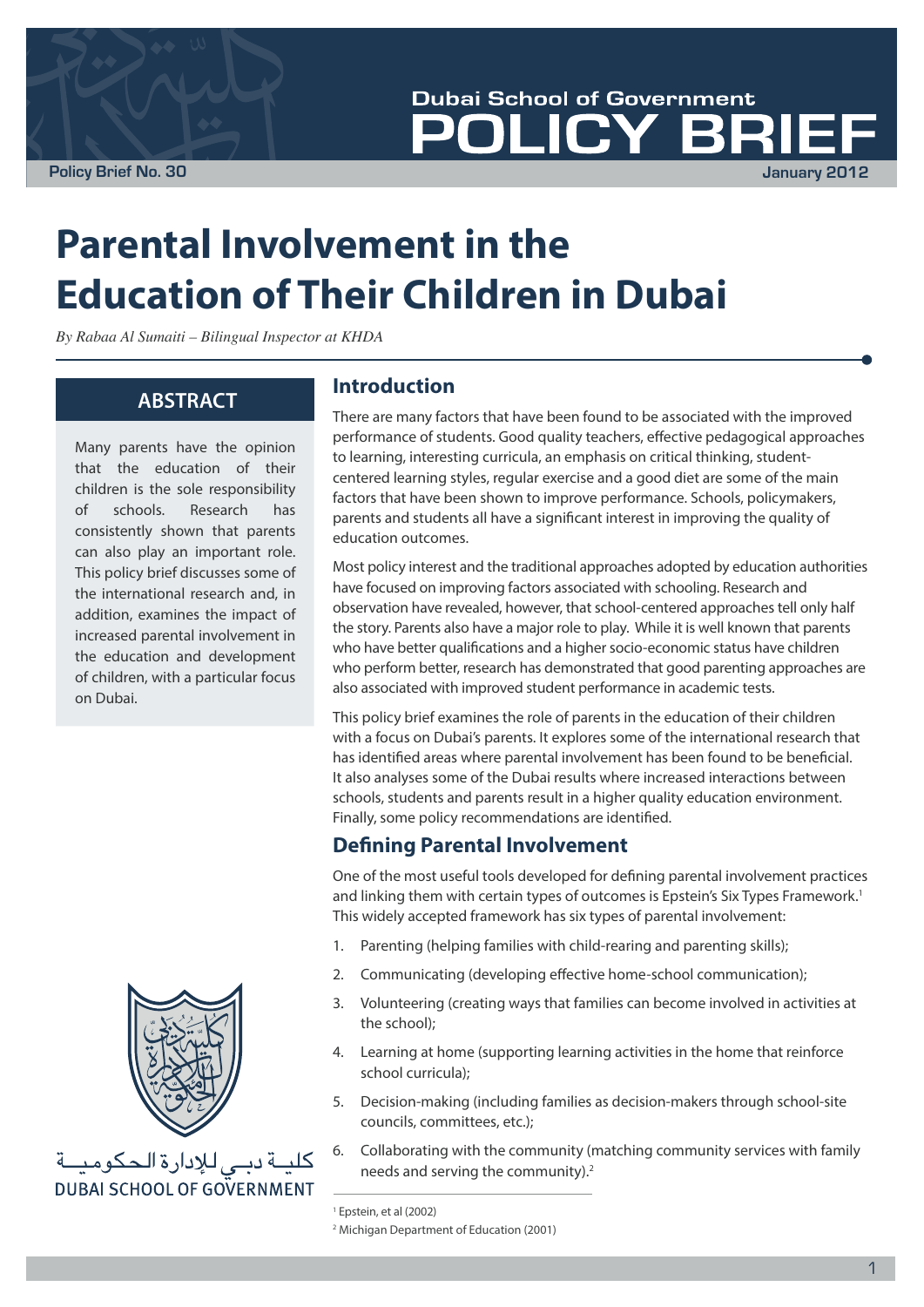**Policy Brief No. 30 January 2012**

**Dubai School of Government** BR

**Parental Involvement in the Education of Their Children in Dubai**

*By Rabaa Al Sumaiti – Bilingual Inspector at KHDA*

# **ABSTRACT**

Many parents have the opinion that the education of their children is the sole responsibility of schools. Research has consistently shown that parents can also play an important role. This policy brief discusses some of the international research and, in addition, examines the impact of increased parental involvement in the education and development of children, with a particular focus on Dubai.



كليــة دبـى للإدارة الحكوميــة **DUBAI SCHOOL OF GOVERNMENT** 

### **Introduction**

There are many factors that have been found to be associated with the improved performance of students. Good quality teachers, effective pedagogical approaches to learning, interesting curricula, an emphasis on critical thinking, studentcentered learning styles, regular exercise and a good diet are some of the main factors that have been shown to improve performance. Schools, policymakers, parents and students all have a significant interest in improving the quality of education outcomes.

Most policy interest and the traditional approaches adopted by education authorities have focused on improving factors associated with schooling. Research and observation have revealed, however, that school-centered approaches tell only half the story. Parents also have a major role to play. While it is well known that parents who have better qualifications and a higher socio-economic status have children who perform better, research has demonstrated that good parenting approaches are also associated with improved student performance in academic tests.

This policy brief examines the role of parents in the education of their children with a focus on Dubai's parents. It explores some of the international research that has identified areas where parental involvement has been found to be beneficial. It also analyses some of the Dubai results where increased interactions between schools, students and parents result in a higher quality education environment. Finally, some policy recommendations are identified.

# **Defining Parental Involvement**

One of the most useful tools developed for defining parental involvement practices and linking them with certain types of outcomes is Epstein's Six Types Framework.<sup>1</sup> This widely accepted framework has six types of parental involvement:

- 1. Parenting (helping families with child-rearing and parenting skills);
- 2. Communicating (developing effective home-school communication);
- 3. Volunteering (creating ways that families can become involved in activities at the school);
- 4. Learning at home (supporting learning activities in the home that reinforce school curricula);
- 5. Decision-making (including families as decision-makers through school-site councils, committees, etc.);
- 6. Collaborating with the community (matching community services with family needs and serving the community).2

<sup>1</sup> Epstein, et al (2002)

<sup>2</sup> Michigan Department of Education (2001)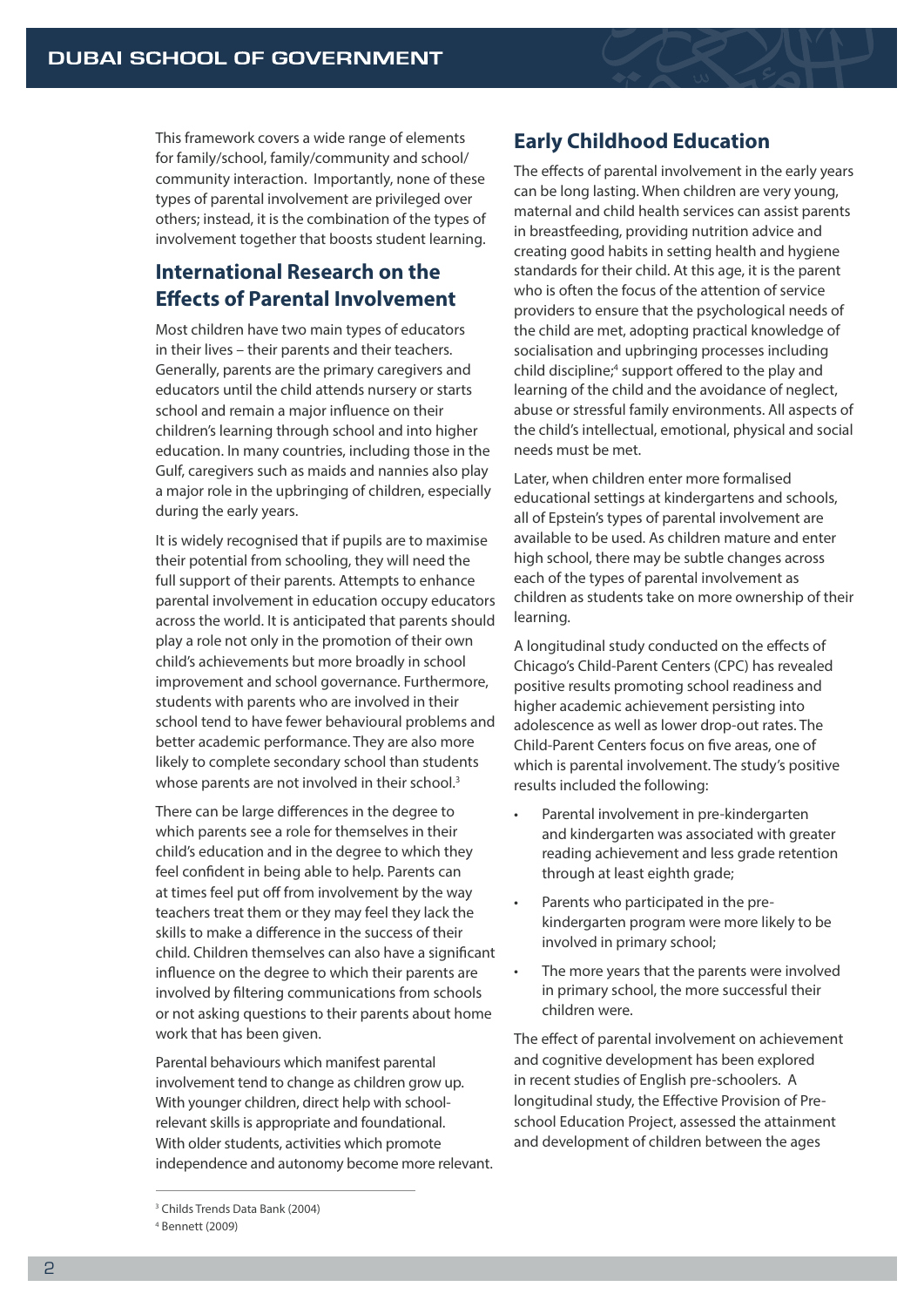This framework covers a wide range of elements for family/school, family/community and school/ community interaction. Importantly, none of these types of parental involvement are privileged over others; instead, it is the combination of the types of involvement together that boosts student learning.

# **International Research on the Effects of Parental Involvement**

Most children have two main types of educators in their lives – their parents and their teachers. Generally, parents are the primary caregivers and educators until the child attends nursery or starts school and remain a major influence on their children's learning through school and into higher education. In many countries, including those in the Gulf, caregivers such as maids and nannies also play a major role in the upbringing of children, especially during the early years.

It is widely recognised that if pupils are to maximise their potential from schooling, they will need the full support of their parents. Attempts to enhance parental involvement in education occupy educators across the world. It is anticipated that parents should play a role not only in the promotion of their own child's achievements but more broadly in school improvement and school governance. Furthermore, students with parents who are involved in their school tend to have fewer behavioural problems and better academic performance. They are also more likely to complete secondary school than students whose parents are not involved in their school.<sup>3</sup>

There can be large differences in the degree to which parents see a role for themselves in their child's education and in the degree to which they feel confident in being able to help. Parents can at times feel put off from involvement by the way teachers treat them or they may feel they lack the skills to make a difference in the success of their child. Children themselves can also have a significant influence on the degree to which their parents are involved by filtering communications from schools or not asking questions to their parents about home work that has been given.

Parental behaviours which manifest parental involvement tend to change as children grow up. With younger children, direct help with schoolrelevant skills is appropriate and foundational. With older students, activities which promote independence and autonomy become more relevant.

# **Early Childhood Education**

The effects of parental involvement in the early years can be long lasting. When children are very young, maternal and child health services can assist parents in breastfeeding, providing nutrition advice and creating good habits in setting health and hygiene standards for their child. At this age, it is the parent who is often the focus of the attention of service providers to ensure that the psychological needs of the child are met, adopting practical knowledge of socialisation and upbringing processes including child discipline;<sup>4</sup> support offered to the play and learning of the child and the avoidance of neglect, abuse or stressful family environments. All aspects of the child's intellectual, emotional, physical and social needs must be met.

Later, when children enter more formalised educational settings at kindergartens and schools, all of Epstein's types of parental involvement are available to be used. As children mature and enter high school, there may be subtle changes across each of the types of parental involvement as children as students take on more ownership of their learning.

A longitudinal study conducted on the effects of Chicago's Child-Parent Centers (CPC) has revealed positive results promoting school readiness and higher academic achievement persisting into adolescence as well as lower drop-out rates. The Child-Parent Centers focus on five areas, one of which is parental involvement. The study's positive results included the following:

- Parental involvement in pre-kindergarten and kindergarten was associated with greater reading achievement and less grade retention through at least eighth grade;
- Parents who participated in the prekindergarten program were more likely to be involved in primary school;
- The more years that the parents were involved in primary school, the more successful their children were.

The effect of parental involvement on achievement and cognitive development has been explored in recent studies of English pre-schoolers. A longitudinal study, the Effective Provision of Preschool Education Project, assessed the attainment and development of children between the ages

<sup>3</sup> Childs Trends Data Bank (2004)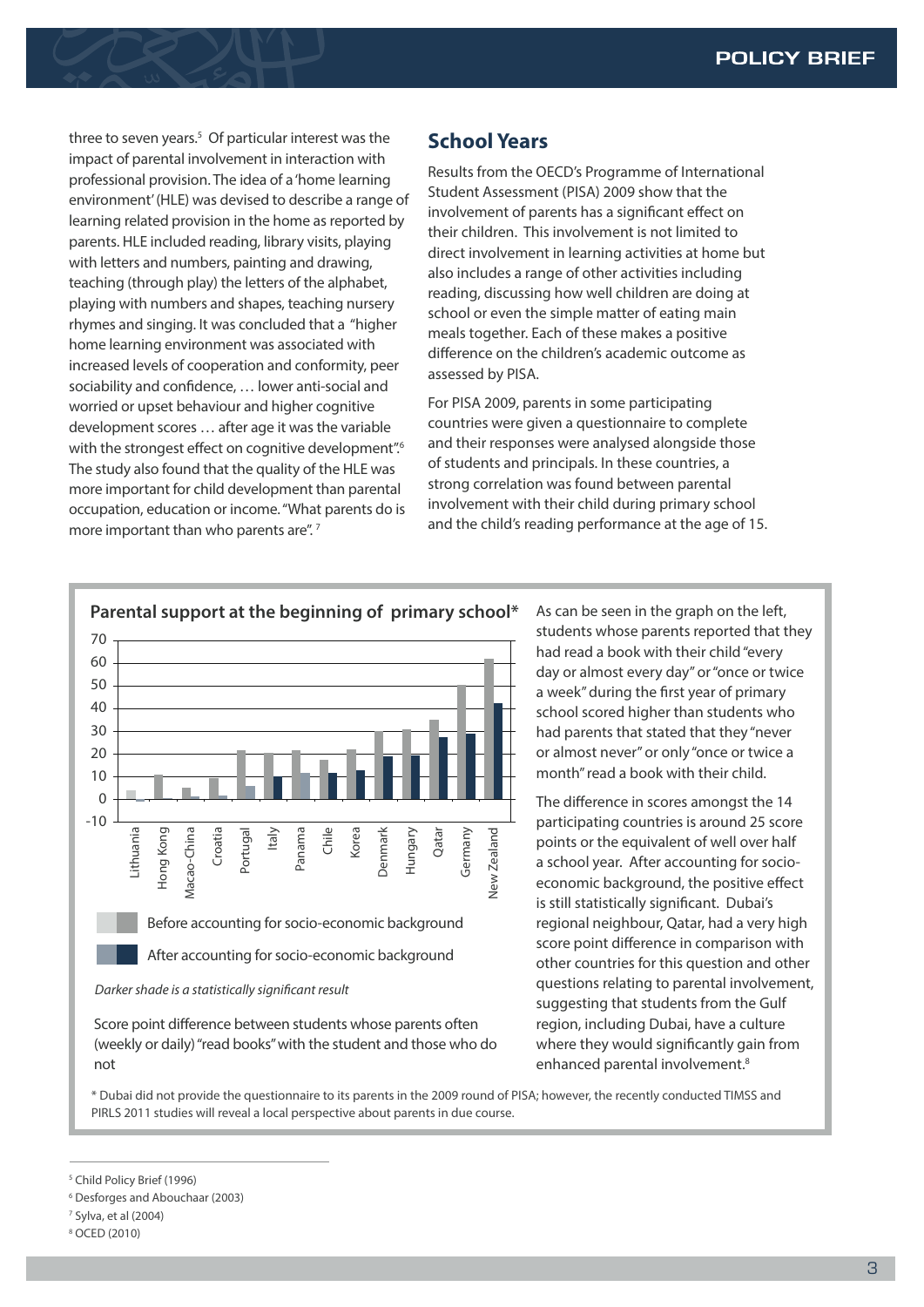three to seven years.<sup>5</sup> Of particular interest was the impact of parental involvement in interaction with professional provision. The idea of a 'home learning environment' (HLE) was devised to describe a range of learning related provision in the home as reported by parents. HLE included reading, library visits, playing with letters and numbers, painting and drawing, teaching (through play) the letters of the alphabet, playing with numbers and shapes, teaching nursery rhymes and singing. It was concluded that a "higher home learning environment was associated with increased levels of cooperation and conformity, peer sociability and confidence, … lower anti-social and worried or upset behaviour and higher cognitive development scores … after age it was the variable with the strongest effect on cognitive development".<sup>6</sup> The study also found that the quality of the HLE was more important for child development than parental occupation, education or income. "What parents do is more important than who parents are".<sup>7</sup>

# **School Years**

Results from the OECD's Programme of International Student Assessment (PISA) 2009 show that the involvement of parents has a significant effect on their children. This involvement is not limited to direct involvement in learning activities at home but also includes a range of other activities including reading, discussing how well children are doing at school or even the simple matter of eating main meals together. Each of these makes a positive difference on the children's academic outcome as assessed by PISA.

For PISA 2009, parents in some participating countries were given a questionnaire to complete and their responses were analysed alongside those of students and principals. In these countries, a strong correlation was found between parental involvement with their child during primary school and the child's reading performance at the age of 15.



Score point difference between students whose parents often (weekly or daily) "read books" with the student and those who do not

students whose parents reported that they had read a book with their child "every day or almost every day" or "once or twice a week" during the first year of primary school scored higher than students who had parents that stated that they "never or almost never" or only "once or twice a month" read a book with their child.

The difference in scores amongst the 14 participating countries is around 25 score points or the equivalent of well over half a school year. After accounting for socioeconomic background, the positive effect is still statistically significant. Dubai's regional neighbour, Qatar, had a very high score point difference in comparison with other countries for this question and other questions relating to parental involvement, suggesting that students from the Gulf region, including Dubai, have a culture where they would significantly gain from enhanced parental involvement.<sup>8</sup>

\* Dubai did not provide the questionnaire to its parents in the 2009 round of PISA; however, the recently conducted TIMSS and PIRLS 2011 studies will reveal a local perspective about parents in due course.

<sup>5</sup> Child Policy Brief (1996)

<sup>6</sup> Desforges and Abouchaar (2003)

<sup>7</sup> Sylva, et al (2004)

<sup>8</sup> OCED (2010)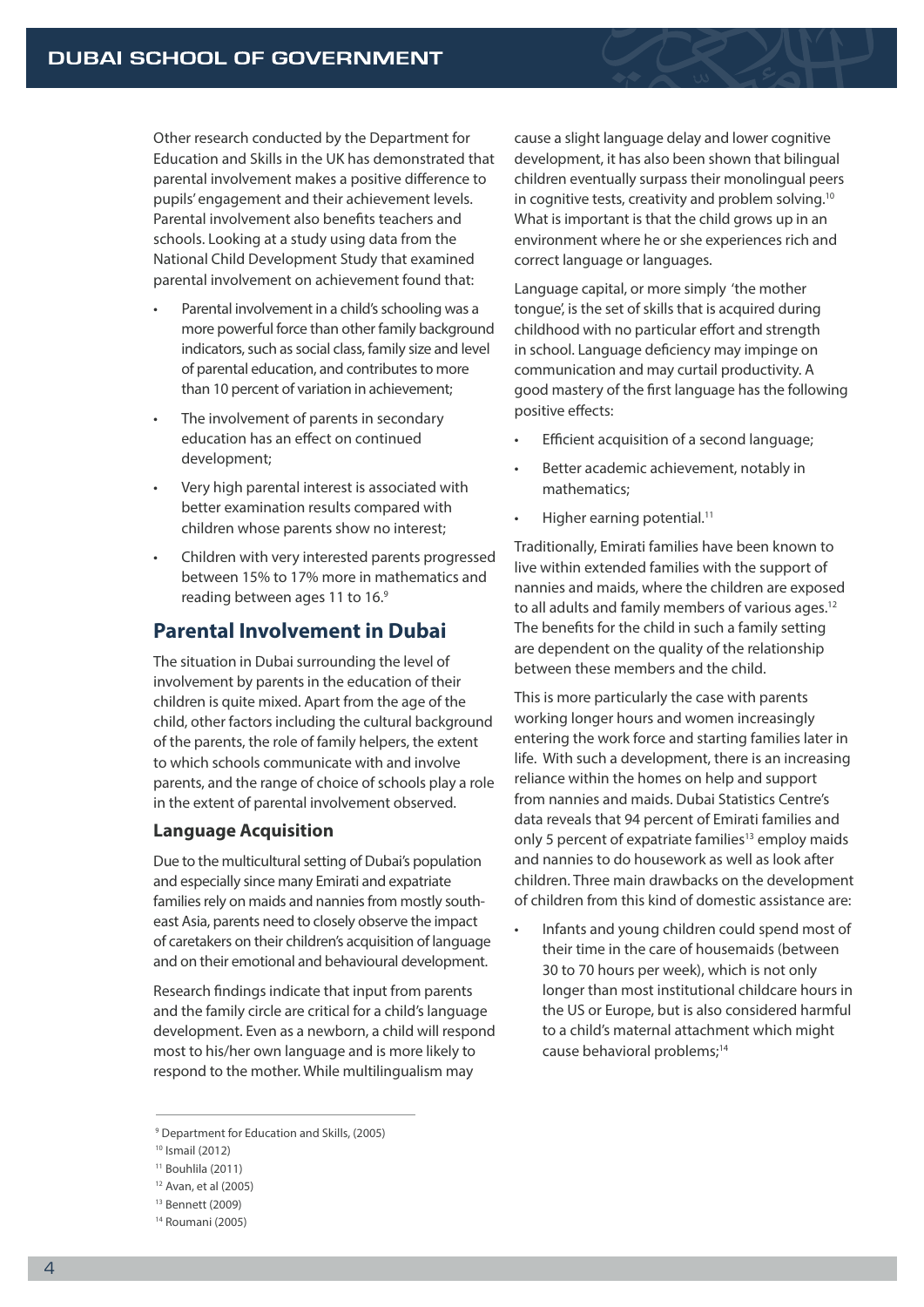Other research conducted by the Department for Education and Skills in the UK has demonstrated that parental involvement makes a positive difference to pupils' engagement and their achievement levels. Parental involvement also benefits teachers and schools. Looking at a study using data from the National Child Development Study that examined parental involvement on achievement found that:

- Parental involvement in a child's schooling was a more powerful force than other family background indicators, such as social class, family size and level of parental education, and contributes to more than 10 percent of variation in achievement;
- The involvement of parents in secondary education has an effect on continued development;
- Very high parental interest is associated with better examination results compared with children whose parents show no interest;
- Children with very interested parents progressed between 15% to 17% more in mathematics and reading between ages 11 to 16.9

# **Parental Involvement in Dubai**

The situation in Dubai surrounding the level of involvement by parents in the education of their children is quite mixed. Apart from the age of the child, other factors including the cultural background of the parents, the role of family helpers, the extent to which schools communicate with and involve parents, and the range of choice of schools play a role in the extent of parental involvement observed.

### **Language Acquisition**

Due to the multicultural setting of Dubai's population and especially since many Emirati and expatriate families rely on maids and nannies from mostly southeast Asia, parents need to closely observe the impact of caretakers on their children's acquisition of language and on their emotional and behavioural development.

Research findings indicate that input from parents and the family circle are critical for a child's language development. Even as a newborn, a child will respond most to his/her own language and is more likely to respond to the mother. While multilingualism may

cause a slight language delay and lower cognitive development, it has also been shown that bilingual children eventually surpass their monolingual peers in cognitive tests, creativity and problem solving.10 What is important is that the child grows up in an environment where he or she experiences rich and correct language or languages.

Language capital, or more simply 'the mother tongue', is the set of skills that is acquired during childhood with no particular effort and strength in school. Language deficiency may impinge on communication and may curtail productivity. A good mastery of the first language has the following positive effects:

- Efficient acquisition of a second language;
- Better academic achievement, notably in mathematics;
- Higher earning potential.<sup>11</sup>

Traditionally, Emirati families have been known to live within extended families with the support of nannies and maids, where the children are exposed to all adults and family members of various ages.<sup>12</sup> The benefits for the child in such a family setting are dependent on the quality of the relationship between these members and the child.

This is more particularly the case with parents working longer hours and women increasingly entering the work force and starting families later in life. With such a development, there is an increasing reliance within the homes on help and support from nannies and maids. Dubai Statistics Centre's data reveals that 94 percent of Emirati families and only 5 percent of expatriate families<sup>13</sup> employ maids and nannies to do housework as well as look after children. Three main drawbacks on the development of children from this kind of domestic assistance are:

• Infants and young children could spend most of their time in the care of housemaids (between 30 to 70 hours per week), which is not only longer than most institutional childcare hours in the US or Europe, but is also considered harmful to a child's maternal attachment which might cause behavioral problems;14

<sup>9</sup> Department for Education and Skills, (2005)

<sup>10</sup> Ismail (2012)

<sup>11</sup> Bouhlila (2011)

<sup>12</sup> Avan, et al (2005)

<sup>13</sup> Bennett (2009)

<sup>14</sup> Roumani (2005)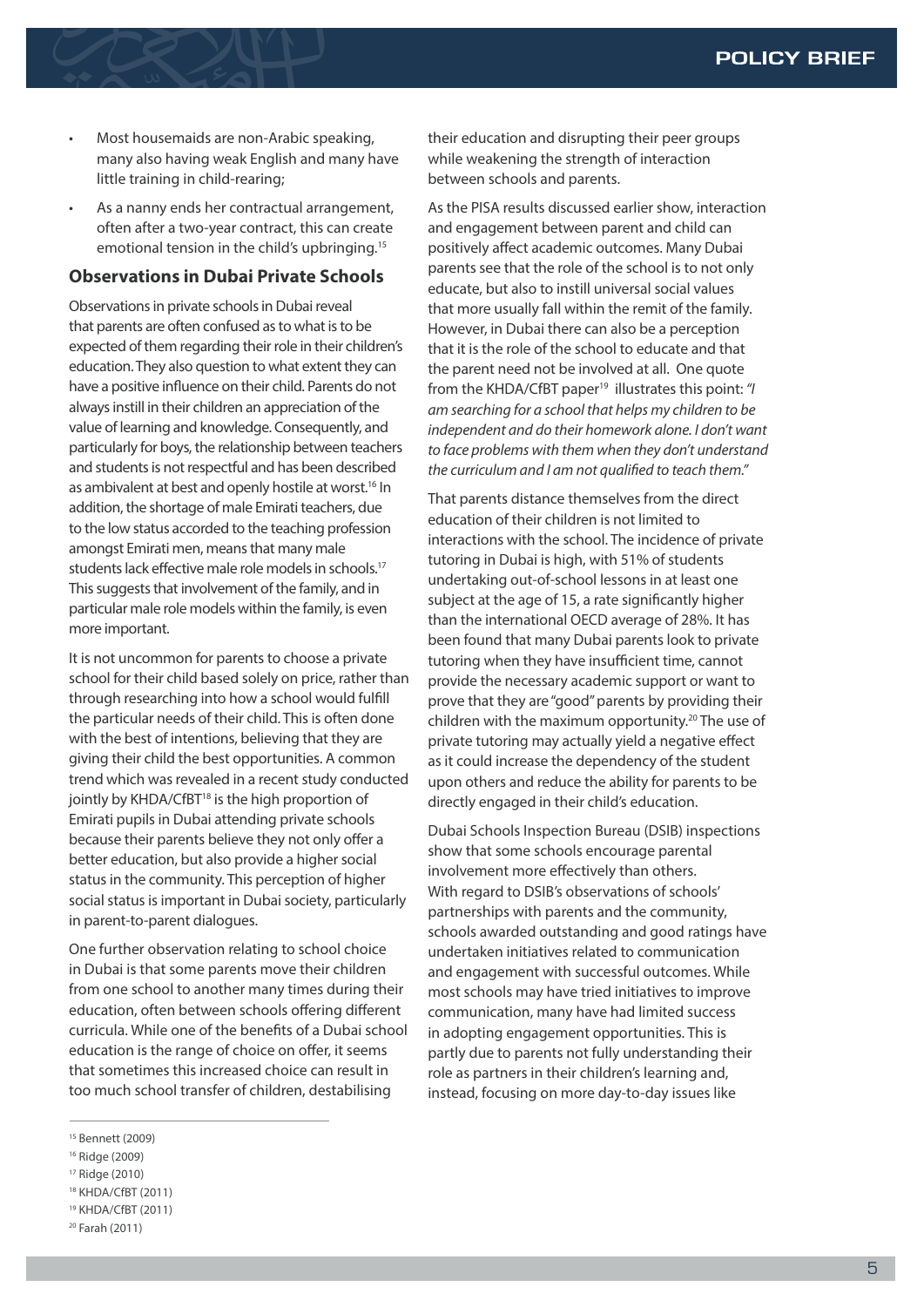### **POLICY BRIEF**

- Most housemaids are non-Arabic speaking, many also having weak English and many have little training in child-rearing;
- As a nanny ends her contractual arrangement, often after a two-year contract, this can create emotional tension in the child's upbringing.<sup>15</sup>

#### **Observations in Dubai Private Schools**

Observations in private schools in Dubai reveal that parents are often confused as to what is to be expected of them regarding their role in their children's education. They also question to what extent they can have a positive influence on their child. Parents do not always instill in their children an appreciation of the value of learning and knowledge. Consequently, and particularly for boys, the relationship between teachers and students is not respectful and has been described as ambivalent at best and openly hostile at worst.<sup>16</sup> In addition, the shortage of male Emirati teachers, due to the low status accorded to the teaching profession amongst Emirati men, means that many male students lack effective male role models in schools.<sup>17</sup> This suggests that involvement of the family, and in particular male role models within the family, is even more important.

It is not uncommon for parents to choose a private school for their child based solely on price, rather than through researching into how a school would fulfill the particular needs of their child. This is often done with the best of intentions, believing that they are giving their child the best opportunities. A common trend which was revealed in a recent study conducted jointly by KHDA/CfBT<sup>18</sup> is the high proportion of Emirati pupils in Dubai attending private schools because their parents believe they not only offer a better education, but also provide a higher social status in the community. This perception of higher social status is important in Dubai society, particularly in parent-to-parent dialogues.

One further observation relating to school choice in Dubai is that some parents move their children from one school to another many times during their education, often between schools offering different curricula. While one of the benefits of a Dubai school education is the range of choice on offer, it seems that sometimes this increased choice can result in too much school transfer of children, destabilising

their education and disrupting their peer groups while weakening the strength of interaction between schools and parents.

As the PISA results discussed earlier show, interaction and engagement between parent and child can positively affect academic outcomes. Many Dubai parents see that the role of the school is to not only educate, but also to instill universal social values that more usually fall within the remit of the family. However, in Dubai there can also be a perception that it is the role of the school to educate and that the parent need not be involved at all. One quote from the KHDA/CfBT paper<sup>19</sup> illustrates this point: "I *am searching for a school that helps my children to be independent and do their homework alone. I don't want to face problems with them when they don't understand the curriculum and I am not qualified to teach them."*

That parents distance themselves from the direct education of their children is not limited to interactions with the school. The incidence of private tutoring in Dubai is high, with 51% of students undertaking out-of-school lessons in at least one subject at the age of 15, a rate significantly higher than the international OECD average of 28%. It has been found that many Dubai parents look to private tutoring when they have insufficient time, cannot provide the necessary academic support or want to prove that they are "good" parents by providing their children with the maximum opportunity.<sup>20</sup> The use of private tutoring may actually yield a negative effect as it could increase the dependency of the student upon others and reduce the ability for parents to be directly engaged in their child's education.

Dubai Schools Inspection Bureau (DSIB) inspections show that some schools encourage parental involvement more effectively than others. With regard to DSIB's observations of schools' partnerships with parents and the community, schools awarded outstanding and good ratings have undertaken initiatives related to communication and engagement with successful outcomes. While most schools may have tried initiatives to improve communication, many have had limited success in adopting engagement opportunities. This is partly due to parents not fully understanding their role as partners in their children's learning and, instead, focusing on more day-to-day issues like

<sup>15</sup> Bennett (2009)

<sup>16</sup> Ridge (2009)

<sup>17</sup> Ridge (2010)

<sup>18</sup> KHDA/CfBT (2011)

<sup>19</sup> KHDA/CfBT (2011)

<sup>20</sup> Farah (2011)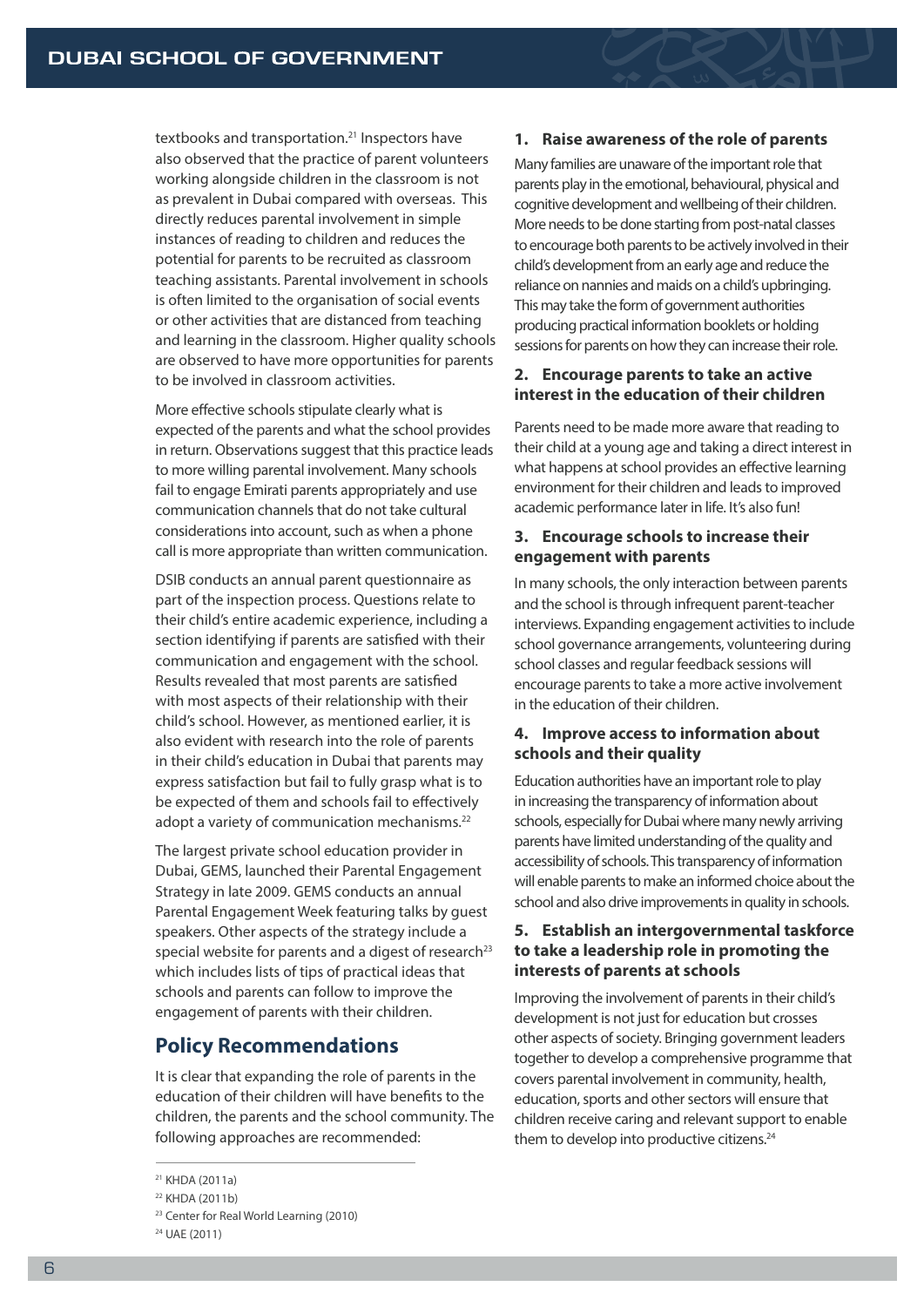textbooks and transportation.<sup>21</sup> Inspectors have also observed that the practice of parent volunteers working alongside children in the classroom is not as prevalent in Dubai compared with overseas. This directly reduces parental involvement in simple instances of reading to children and reduces the potential for parents to be recruited as classroom teaching assistants. Parental involvement in schools is often limited to the organisation of social events or other activities that are distanced from teaching and learning in the classroom. Higher quality schools are observed to have more opportunities for parents to be involved in classroom activities.

More effective schools stipulate clearly what is expected of the parents and what the school provides in return. Observations suggest that this practice leads to more willing parental involvement. Many schools fail to engage Emirati parents appropriately and use communication channels that do not take cultural considerations into account, such as when a phone call is more appropriate than written communication.

DSIB conducts an annual parent questionnaire as part of the inspection process. Questions relate to their child's entire academic experience, including a section identifying if parents are satisfied with their communication and engagement with the school. Results revealed that most parents are satisfied with most aspects of their relationship with their child's school. However, as mentioned earlier, it is also evident with research into the role of parents in their child's education in Dubai that parents may express satisfaction but fail to fully grasp what is to be expected of them and schools fail to effectively adopt a variety of communication mechanisms.<sup>22</sup>

The largest private school education provider in Dubai, GEMS, launched their Parental Engagement Strategy in late 2009. GEMS conducts an annual Parental Engagement Week featuring talks by guest speakers. Other aspects of the strategy include a special website for parents and a digest of research<sup>23</sup> which includes lists of tips of practical ideas that schools and parents can follow to improve the engagement of parents with their children.

# **Policy Recommendations**

It is clear that expanding the role of parents in the education of their children will have benefits to the children, the parents and the school community. The following approaches are recommended:

24 UAE (2011)

#### **1. Raise awareness of the role of parents**

Many families are unaware of the important role that parents play in the emotional, behavioural, physical and cognitive development and wellbeing of their children. More needs to be done starting from post-natal classes to encourage both parents to be actively involved in their child's development from an early age and reduce the reliance on nannies and maids on a child's upbringing. This may take the form of government authorities producing practical information booklets or holding sessions for parents on how they can increase their role.

#### **2. Encourage parents to take an active interest in the education of their children**

Parents need to be made more aware that reading to their child at a young age and taking a direct interest in what happens at school provides an effective learning environment for their children and leads to improved academic performance later in life. It's also fun!

#### **3. Encourage schools to increase their engagement with parents**

In many schools, the only interaction between parents and the school is through infrequent parent-teacher interviews. Expanding engagement activities to include school governance arrangements, volunteering during school classes and regular feedback sessions will encourage parents to take a more active involvement in the education of their children.

### **4. Improve access to information about schools and their quality**

Education authorities have an important role to play in increasing the transparency of information about schools, especially for Dubai where many newly arriving parents have limited understanding of the quality and accessibility of schools. This transparency of information will enable parents to make an informed choice about the school and also drive improvements in quality in schools.

#### **5. Establish an intergovernmental taskforce to take a leadership role in promoting the interests of parents at schools**

Improving the involvement of parents in their child's development is not just for education but crosses other aspects of society. Bringing government leaders together to develop a comprehensive programme that covers parental involvement in community, health, education, sports and other sectors will ensure that children receive caring and relevant support to enable them to develop into productive citizens.<sup>24</sup>

<sup>21</sup> KHDA (2011a)

<sup>22</sup> KHDA (2011b)

<sup>23</sup> Center for Real World Learning (2010)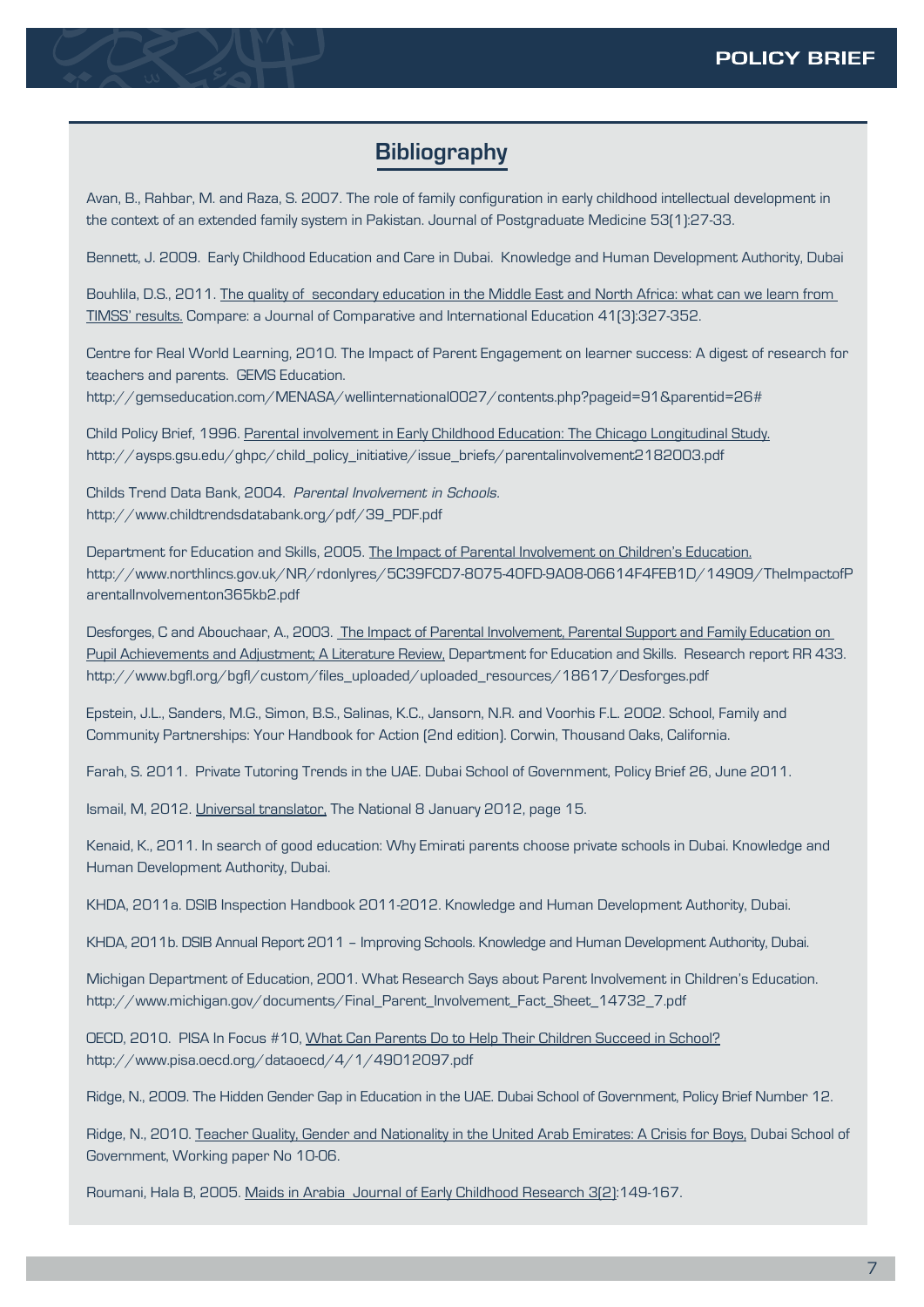# **Bibliography**

Avan, B., Rahbar, M. and Raza, S. 2007. The role of family configuration in early childhood intellectual development in the context of an extended family system in Pakistan. Journal of Postgraduate Medicine 53(1):27-33.

Bennett, J. 2009. Early Childhood Education and Care in Dubai. Knowledge and Human Development Authority, Dubai

Bouhlila, D.S., 2011. The quality of secondary education in the Middle East and North Africa: what can we learn from TIMSS' results. Compare: a Journal of Comparative and International Education 41(3):327-352.

Centre for Real World Learning, 2010. The Impact of Parent Engagement on learner success: A digest of research for teachers and parents. GEMS Education.

http://gemseducation.com/MENASA/wellinternational0027/contents.php?pageid=91&parentid=26#

Child Policy Brief, 1996. Parental involvement in Early Childhood Education: The Chicago Longitudinal Study. http://aysps.gsu.edu/ghpc/child\_policy\_initiative/issue\_briefs/parentalinvolvement2182003.pdf

Childs Trend Data Bank, 2004. *Parental Involvement in Schools.* http://www.childtrendsdatabank.org/pdf/39\_PDF.pdf

Department for Education and Skills, 2005. The Impact of Parental Involvement on Children's Education. http://www.northlincs.gov.uk/NR/rdonlyres/5C39FCD7-8075-40FD-9A08-06614F4FEB1D/14909/TheImpactofP arentalInvolvementon365kb2.pdf

Desforges, C and Abouchaar, A., 2003. The Impact of Parental Involvement, Parental Support and Family Education on Pupil Achievements and Adjustment; A Literature Review, Department for Education and Skills. Research report RR 433. http://www.bgfl.org/bgfl/custom/files\_uploaded/uploaded\_resources/18617/Desforges.pdf

Epstein, J.L., Sanders, M.G., Simon, B.S., Salinas, K.C., Jansorn, N.R. and Voorhis F.L. 2002. School, Family and Community Partnerships: Your Handbook for Action (2nd edition). Corwin, Thousand Oaks, California.

Farah, S. 2011. Private Tutoring Trends in the UAE. Dubai School of Government, Policy Brief 26, June 2011.

Ismail, M, 2012. Universal translator, The National 8 January 2012, page 15.

Kenaid, K., 2011. In search of good education: Why Emirati parents choose private schools in Dubai. Knowledge and Human Development Authority, Dubai.

KHDA, 2011a. DSIB Inspection Handbook 2011-2012. Knowledge and Human Development Authority, Dubai.

KHDA, 2011b. DSIB Annual Report 2011 – Improving Schools. Knowledge and Human Development Authority, Dubai.

Michigan Department of Education, 2001. What Research Says about Parent Involvement in Children's Education. http://www.michigan.gov/documents/Final\_Parent\_Involvement\_Fact\_Sheet\_14732\_7.pdf

OECD, 2010. PISA In Focus #10, What Can Parents Do to Help Their Children Succeed in School? http://www.pisa.oecd.org/dataoecd/4/1/49012097.pdf

Ridge, N., 2009. The Hidden Gender Gap in Education in the UAE. Dubai School of Government, Policy Brief Number 12.

Ridge, N., 2010. Teacher Quality, Gender and Nationality in the United Arab Emirates: A Crisis for Boys, Dubai School of Government, Working paper No 10-06.

Roumani, Hala B, 2005. Maids in Arabia Journal of Early Childhood Research 3[2]:149-167.